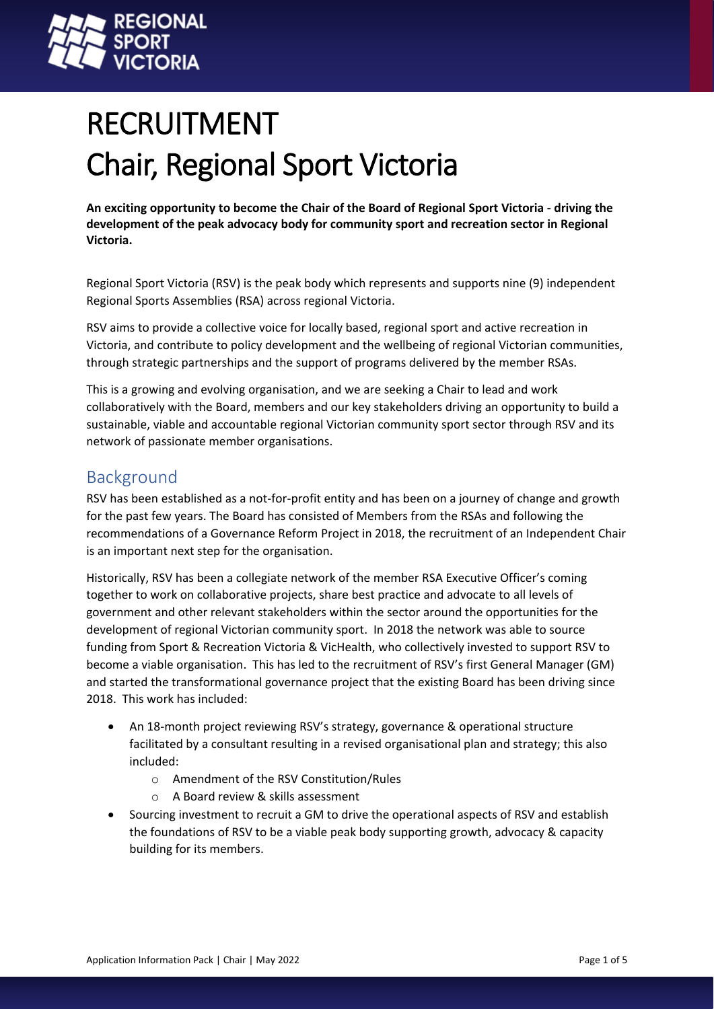

# RECRUITMENT Chair, Regional Sport Victoria

**An exciting opportunity to become the Chair of the Board of Regional Sport Victoria - driving the development of the peak advocacy body for community sport and recreation sector in Regional Victoria.**

Regional Sport Victoria (RSV) is the peak body which represents and supports nine (9) independent Regional Sports Assemblies (RSA) across regional Victoria.

RSV aims to provide a collective voice for locally based, regional sport and active recreation in Victoria, and contribute to policy development and the wellbeing of regional Victorian communities, through strategic partnerships and the support of programs delivered by the member RSAs.

This is a growing and evolving organisation, and we are seeking a Chair to lead and work collaboratively with the Board, members and our key stakeholders driving an opportunity to build a sustainable, viable and accountable regional Victorian community sport sector through RSV and its network of passionate member organisations.

# Background

RSV has been established as a not-for-profit entity and has been on a journey of change and growth for the past few years. The Board has consisted of Members from the RSAs and following the recommendations of a Governance Reform Project in 2018, the recruitment of an Independent Chair is an important next step for the organisation.

Historically, RSV has been a collegiate network of the member RSA Executive Officer's coming together to work on collaborative projects, share best practice and advocate to all levels of government and other relevant stakeholders within the sector around the opportunities for the development of regional Victorian community sport. In 2018 the network was able to source funding from Sport & Recreation Victoria & VicHealth, who collectively invested to support RSV to become a viable organisation. This has led to the recruitment of RSV's first General Manager (GM) and started the transformational governance project that the existing Board has been driving since 2018. This work has included:

- An 18-month project reviewing RSV's strategy, governance & operational structure facilitated by a consultant resulting in a revised organisational plan and strategy; this also included:
	- o Amendment of the RSV Constitution/Rules
	- o A Board review & skills assessment
- Sourcing investment to recruit a GM to drive the operational aspects of RSV and establish the foundations of RSV to be a viable peak body supporting growth, advocacy & capacity building for its members.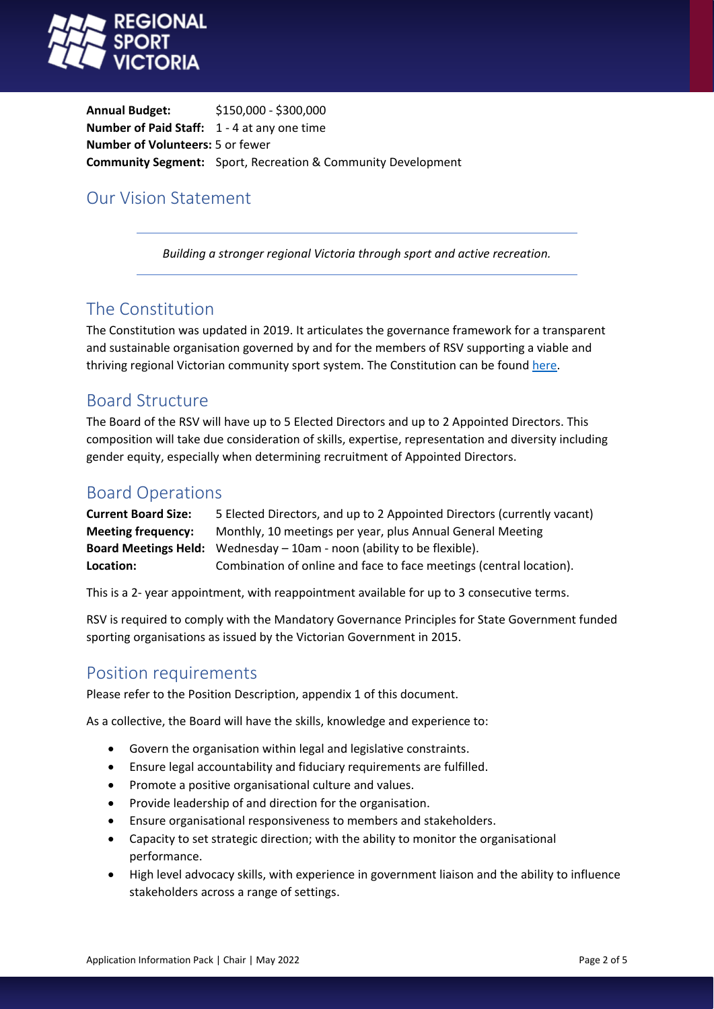

**Annual Budget:** \$150,000 - \$300,000 **Number of Paid Staff:** 1 - 4 at any one time **Number of Volunteers:** 5 or fewer **Community Segment:** Sport, Recreation & Community Development

# Our Vision Statement

*Building a stronger regional Victoria through sport and active recreation.* 

### The Constitution

The Constitution was updated in 2019. It articulates the governance framework for a transparent and sustainable organisation governed by and for the members of RSV supporting a viable and thriving regional Victorian community sport system. The Constitution can be found [here.](https://www.regionalsportvictoria.org.au/about-us/)

#### Board Structure

The Board of the RSV will have up to 5 Elected Directors and up to 2 Appointed Directors. This composition will take due consideration of skills, expertise, representation and diversity including gender equity, especially when determining recruitment of Appointed Directors.

# Board Operations

| <b>Current Board Size:</b> | 5 Elected Directors, and up to 2 Appointed Directors (currently vacant)         |
|----------------------------|---------------------------------------------------------------------------------|
| <b>Meeting frequency:</b>  | Monthly, 10 meetings per year, plus Annual General Meeting                      |
|                            | <b>Board Meetings Held:</b> Wednesday $-10$ am - noon (ability to be flexible). |
| Location:                  | Combination of online and face to face meetings (central location).             |

This is a 2- year appointment, with reappointment available for up to 3 consecutive terms.

RSV is required to comply with the Mandatory Governance Principles for State Government funded sporting organisations as issued by the Victorian Government in 2015.

#### Position requirements

Please refer to the Position Description, appendix 1 of this document.

As a collective, the Board will have the skills, knowledge and experience to:

- Govern the organisation within legal and legislative constraints.
- Ensure legal accountability and fiduciary requirements are fulfilled.
- Promote a positive organisational culture and values.
- Provide leadership of and direction for the organisation.
- Ensure organisational responsiveness to members and stakeholders.
- Capacity to set strategic direction; with the ability to monitor the organisational performance.
- High level advocacy skills, with experience in government liaison and the ability to influence stakeholders across a range of settings.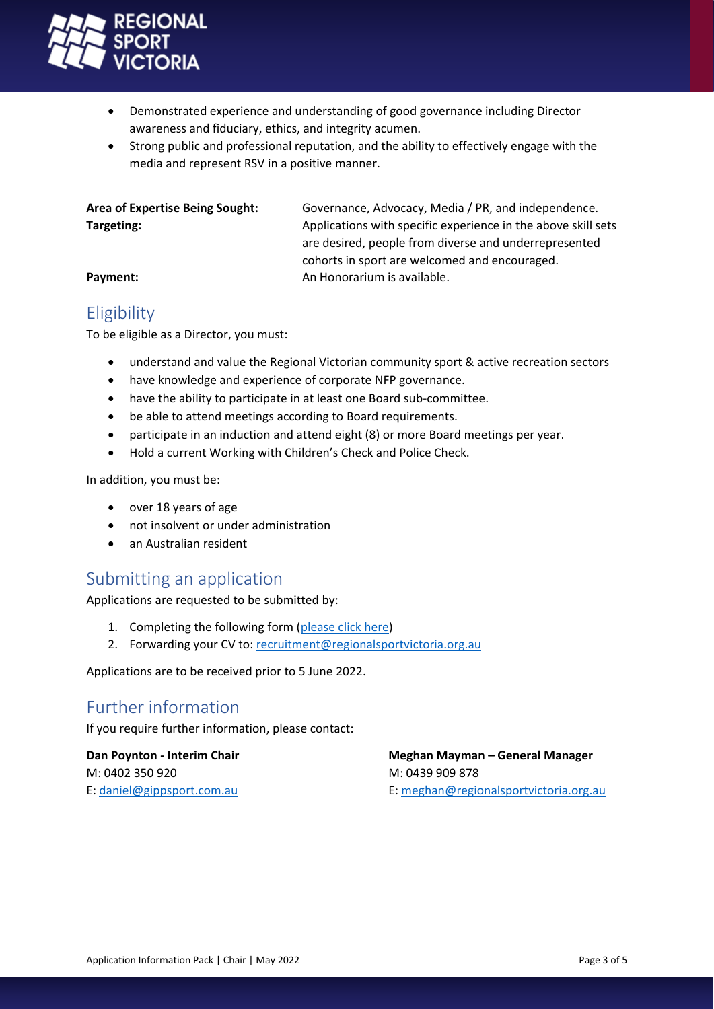

- Demonstrated experience and understanding of good governance including Director awareness and fiduciary, ethics, and integrity acumen.
- Strong public and professional reputation, and the ability to effectively engage with the media and represent RSV in a positive manner.

**Area of Expertise Being Sought:** Governance, Advocacy, Media / PR, and independence. **Targeting:** Targeting: Applications with specific experience in the above skill sets are desired, people from diverse and underrepresented cohorts in sport are welcomed and encouraged. **Payment: An Honorarium is available.** 

# Eligibility

To be eligible as a Director, you must:

- understand and value the Regional Victorian community sport & active recreation sectors
- have knowledge and experience of corporate NFP governance.
- have the ability to participate in at least one Board sub-committee.
- be able to attend meetings according to Board requirements.
- participate in an induction and attend eight (8) or more Board meetings per year.
- Hold a current Working with Children's Check and Police Check.

In addition, you must be:

- over 18 years of age
- not insolvent or under administration
- an Australian resident

# Submitting an application

Applications are requested to be submitted by:

- 1. Completing the following form [\(please click here\)](https://forms.office.com/Pages/ResponsePage.aspx?id=WGF2AtYuS0KCfmBYbpi5DpyEikpqRyhKrqVXmf1YE6VUMThMQ0tETkdJTlBTNFo3SFJLTk8wNEdTUS4u)
- 2. Forwarding your CV to: [recruitment@regionalsportvictoria.org.au](mailto:recruitment@regionalsportvictoria.org.au)

Applications are to be received prior to 5 June 2022.

# Further information

If you require further information, please contact:

M: 0402 350 920 M: 0439 909 878

**Dan Poynton - Interim Chair Meghan Mayman – General Manager** E: [daniel@gippsport.com.au](mailto:daniel@gippsport.com.au) E: [meghan@regionalsportvictoria.org.au](mailto:meghan@regionalsportvictoria.org.au)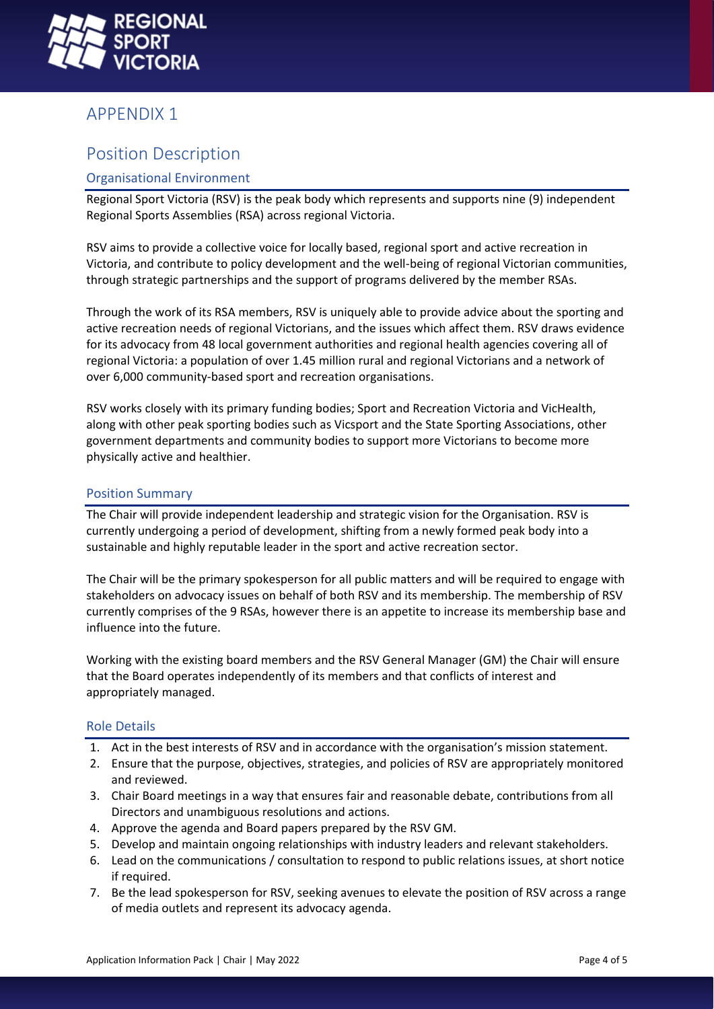

## APPENDIX 1

## Position Description

#### Organisational Environment

Regional Sport Victoria (RSV) is the peak body which represents and supports nine (9) independent Regional Sports Assemblies (RSA) across regional Victoria.

RSV aims to provide a collective voice for locally based, regional sport and active recreation in Victoria, and contribute to policy development and the well-being of regional Victorian communities, through strategic partnerships and the support of programs delivered by the member RSAs.

Through the work of its RSA members, RSV is uniquely able to provide advice about the sporting and active recreation needs of regional Victorians, and the issues which affect them. RSV draws evidence for its advocacy from 48 local government authorities and regional health agencies covering all of regional Victoria: a population of over 1.45 million rural and regional Victorians and a network of over 6,000 community-based sport and recreation organisations.

RSV works closely with its primary funding bodies; Sport and Recreation Victoria and VicHealth, along with other peak sporting bodies such as Vicsport and the State Sporting Associations, other government departments and community bodies to support more Victorians to become more physically active and healthier.

#### Position Summary

The Chair will provide independent leadership and strategic vision for the Organisation. RSV is currently undergoing a period of development, shifting from a newly formed peak body into a sustainable and highly reputable leader in the sport and active recreation sector.

The Chair will be the primary spokesperson for all public matters and will be required to engage with stakeholders on advocacy issues on behalf of both RSV and its membership. The membership of RSV currently comprises of the 9 RSAs, however there is an appetite to increase its membership base and influence into the future.

Working with the existing board members and the RSV General Manager (GM) the Chair will ensure that the Board operates independently of its members and that conflicts of interest and appropriately managed.

#### Role Details

- 1. Act in the best interests of RSV and in accordance with the organisation's mission statement.
- 2. Ensure that the purpose, objectives, strategies, and policies of RSV are appropriately monitored and reviewed.
- 3. Chair Board meetings in a way that ensures fair and reasonable debate, contributions from all Directors and unambiguous resolutions and actions.
- 4. Approve the agenda and Board papers prepared by the RSV GM.
- 5. Develop and maintain ongoing relationships with industry leaders and relevant stakeholders.
- 6. Lead on the communications / consultation to respond to public relations issues, at short notice if required.
- 7. Be the lead spokesperson for RSV, seeking avenues to elevate the position of RSV across a range of media outlets and represent its advocacy agenda.